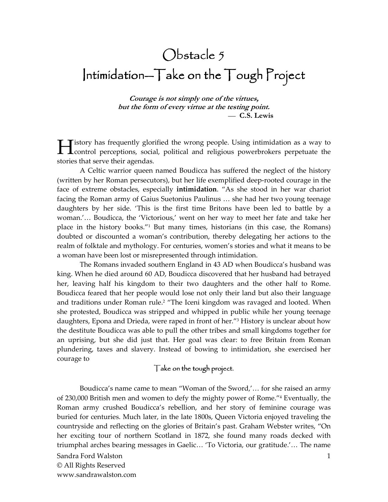# $Obstate 5$  $Intimidation - Take on the Tough Project$

**Courage is not simply one of the virtues, but the form of every virtue at the testing point.**  — **C.S. Lewis** 

istory has frequently glorified the wrong people. Using intimidation as a way to **Example 1** istory has frequently glorified the wrong people. Using intimidation as a way to control perceptions, social, political and religious powerbrokers perpetuate the stories that serve their agendas.

A Celtic warrior queen named Boudicca has suffered the neglect of the history (written by her Roman persecutors), but her life exemplified deep-rooted courage in the face of extreme obstacles, especially **intimidation**. "As she stood in her war chariot facing the Roman army of Gaius Suetonius Paulinus … she had her two young teenage daughters by her side. 'This is the first time Britons have been led to battle by a woman.'… Boudicca, the 'Victorious,' went on her way to meet her fate and take her place in the history books."<sup>1</sup> But many times, historians (in this case, the Romans) doubted or discounted a woman's contribution, thereby delegating her actions to the realm of folktale and mythology. For centuries, women's stories and what it means to be a woman have been lost or misrepresented through intimidation.

The Romans invaded southern England in 43 AD when Boudicca's husband was king. When he died around 60 AD, Boudicca discovered that her husband had betrayed her, leaving half his kingdom to their two daughters and the other half to Rome. Boudicca feared that her people would lose not only their land but also their language and traditions under Roman rule.<sup>2</sup> "The Iceni kingdom was ravaged and looted. When she protested, Boudicca was stripped and whipped in public while her young teenage daughters, Epona and Drieda, were raped in front of her."<sup>3</sup> History is unclear about how the destitute Boudicca was able to pull the other tribes and small kingdoms together for an uprising, but she did just that. Her goal was clear: to free Britain from Roman plundering, taxes and slavery. Instead of bowing to intimidation, she exercised her courage to

## Take on the tough project.

Sandra Ford Walston © All Rights Reserved 1 Boudicca's name came to mean "Woman of the Sword,'… for she raised an army of 230,000 British men and women to defy the mighty power of Rome."<sup>4</sup> Eventually, the Roman army crushed Boudicca's rebellion, and her story of feminine courage was buried for centuries. Much later, in the late 1800s, Queen Victoria enjoyed traveling the countryside and reflecting on the glories of Britain's past. Graham Webster writes, "On her exciting tour of northern Scotland in 1872, she found many roads decked with triumphal arches bearing messages in Gaelic… 'To Victoria, our gratitude.'… The name

www.sandrawalston.com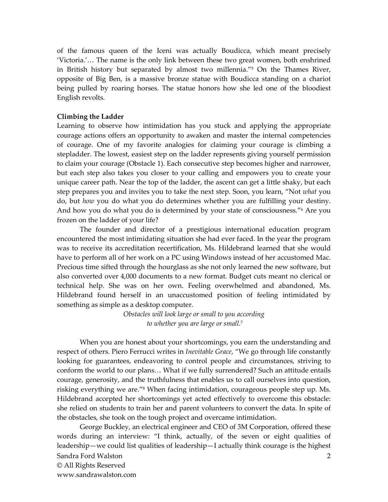of the famous queen of the Iceni was actually Boudicca, which meant precisely 'Victoria.'… The name is the only link between these two great women, both enshrined in British history but separated by almost two millennia."<sup>5</sup> On the Thames River, opposite of Big Ben, is a massive bronze statue with Boudicca standing on a chariot being pulled by roaring horses. The statue honors how she led one of the bloodiest English revolts.

#### **Climbing the Ladder**

Learning to observe how intimidation has you stuck and applying the appropriate courage actions offers an opportunity to awaken and master the internal competencies of courage. One of my favorite analogies for claiming your courage is climbing a stepladder. The lowest, easiest step on the ladder represents giving yourself permission to claim your courage (Obstacle 1). Each consecutive step becomes higher and narrower, but each step also takes you closer to your calling and empowers you to create your unique career path. Near the top of the ladder, the ascent can get a little shaky, but each step prepares you and invites you to take the next step. Soon, you learn, "Not *what* you do, but *how* you do what you do determines whether you are fulfilling your destiny. And how you do what you do is determined by your state of consciousness."<sup>6</sup> Are you frozen on the ladder of your life?

The founder and director of a prestigious international education program encountered the most intimidating situation she had ever faced. In the year the program was to receive its accreditation recertification, Ms. Hildebrand learned that she would have to perform all of her work on a PC using Windows instead of her accustomed Mac. Precious time sifted through the hourglass as she not only learned the new software, but also converted over 4,000 documents to a new format. Budget cuts meant no clerical or technical help. She was on her own. Feeling overwhelmed and abandoned, Ms. Hildebrand found herself in an unaccustomed position of feeling intimidated by something as simple as a desktop computer.

> *Obstacles will look large or small to you according to whether you are large or small.*<sup>7</sup>

When you are honest about your shortcomings, you earn the understanding and respect of others. Piero Ferrucci writes in *Inevitable Grace*, "We go through life constantly looking for guarantees, endeavoring to control people and circumstances, striving to conform the world to our plans… What if we fully surrendered? Such an attitude entails courage, generosity, and the truthfulness that enables us to call ourselves into question, risking everything we are."<sup>8</sup> When facing intimidation, courageous people step up. Ms. Hildebrand accepted her shortcomings yet acted effectively to overcome this obstacle: she relied on students to train her and parent volunteers to convert the data. In spite of the obstacles, she took on the tough project and overcame intimidation.

Sandra Ford Walston © All Rights Reserved www.sandrawalston.com 2 George Buckley, an electrical engineer and CEO of 3M Corporation, offered these words during an interview: "I think, actually, of the seven or eight qualities of leadership—we could list qualities of leadership—I actually think courage is the highest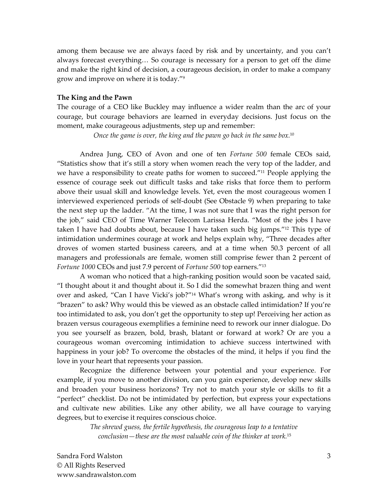among them because we are always faced by risk and by uncertainty, and you can't always forecast everything… So courage is necessary for a person to get off the dime and make the right kind of decision, a courageous decision, in order to make a company grow and improve on where it is today."<sup>9</sup>

#### **The King and the Pawn**

The courage of a CEO like Buckley may influence a wider realm than the arc of your courage, but courage behaviors are learned in everyday decisions. Just focus on the moment, make courageous adjustments, step up and remember:

*Once the game is over, the king and the pawn go back in the same box.*<sup>10</sup>

Andrea Jung, CEO of Avon and one of ten *Fortune 500* female CEOs said, "Statistics show that it's still a story when women reach the very top of the ladder, and we have a responsibility to create paths for women to succeed."<sup>11</sup> People applying the essence of courage seek out difficult tasks and take risks that force them to perform above their usual skill and knowledge levels. Yet, even the most courageous women I interviewed experienced periods of self-doubt (See Obstacle 9) when preparing to take the next step up the ladder. "At the time, I was not sure that I was the right person for the job," said CEO of Time Warner Telecom Larissa Herda. "Most of the jobs I have taken I have had doubts about, because I have taken such big jumps."12 This type of intimidation undermines courage at work and helps explain why, "Three decades after droves of women started business careers, and at a time when 50.3 percent of all managers and professionals are female, women still comprise fewer than 2 percent of *Fortune 1000* CEOs and just 7.9 percent of *Fortune 500* top earners."<sup>13</sup>

A woman who noticed that a high-ranking position would soon be vacated said, "I thought about it and thought about it. So I did the somewhat brazen thing and went over and asked, "Can I have Vicki's job?"14 What's wrong with asking, and why is it "brazen" to ask? Why would this be viewed as an obstacle called intimidation? If you're too intimidated to ask, you don't get the opportunity to step up! Perceiving her action as brazen versus courageous exemplifies a feminine need to rework our inner dialogue. Do you see yourself as brazen, bold, brash, blatant or forward at work? Or are you a courageous woman overcoming intimidation to achieve success intertwined with happiness in your job? To overcome the obstacles of the mind, it helps if you find the love in your heart that represents your passion.

Recognize the difference between your potential and your experience. For example, if you move to another division, can you gain experience, develop new skills and broaden your business horizons? Try not to match your style or skills to fit a "perfect" checklist. Do not be intimidated by perfection, but express your expectations and cultivate new abilities. Like any other ability, we all have courage to varying degrees, but to exercise it requires conscious choice.

> *The shrewd guess, the fertile hypothesis, the courageous leap to a tentative conclusion—these are the most valuable coin of the thinker at work.*15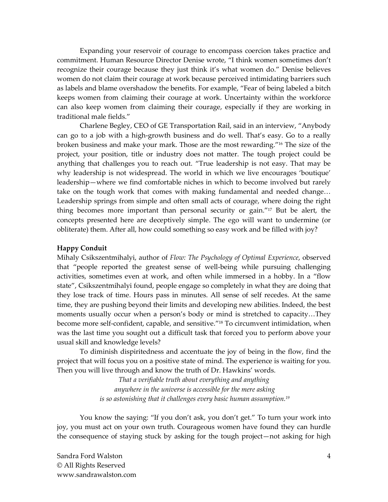Expanding your reservoir of courage to encompass coercion takes practice and commitment. Human Resource Director Denise wrote, "I think women sometimes don't recognize their courage because they just think it's what women do." Denise believes women do not claim their courage at work because perceived intimidating barriers such as labels and blame overshadow the benefits. For example, "Fear of being labeled a bitch keeps women from claiming their courage at work. Uncertainty within the workforce can also keep women from claiming their courage, especially if they are working in traditional male fields."

Charlene Begley, CEO of GE Transportation Rail, said in an interview, "Anybody can go to a job with a high-growth business and do well. That's easy. Go to a really broken business and make your mark. Those are the most rewarding."16 The size of the project, your position, title or industry does not matter. The tough project could be anything that challenges you to reach out. "True leadership is not easy. That may be why leadership is not widespread. The world in which we live encourages 'boutique' leadership—where we find comfortable niches in which to become involved but rarely take on the tough work that comes with making fundamental and needed change… Leadership springs from simple and often small acts of courage, where doing the right thing becomes more important than personal security or gain."17 But be alert, the concepts presented here are deceptively simple. The ego will want to undermine (or obliterate) them. After all, how could something so easy work and be filled with joy?

## **Happy Conduit**

Mihaly Csikszentmihalyi, author of *Flow: The Psychology of Optimal Experience*, observed that "people reported the greatest sense of well-being while pursuing challenging activities, sometimes even at work, and often while immersed in a hobby. In a "flow state", Csikszentmihalyi found, people engage so completely in what they are doing that they lose track of time. Hours pass in minutes. All sense of self recedes. At the same time, they are pushing beyond their limits and developing new abilities. Indeed, the best moments usually occur when a person's body or mind is stretched to capacity…They become more self-confident, capable, and sensitive." <sup>18</sup> To circumvent intimidation, when was the last time you sought out a difficult task that forced you to perform above your usual skill and knowledge levels?

To diminish dispiritedness and accentuate the joy of being in the flow, find the project that will focus you on a positive state of mind. The experience is waiting for you. Then you will live through and know the truth of Dr. Hawkins' words.

> *That a verifiable truth about everything and anything anywhere in the universe is accessible for the mere asking is so astonishing that it challenges every basic human assumption.<sup>19</sup>*

You know the saying: "If you don't ask, you don't get." To turn your work into joy, you must act on your own truth. Courageous women have found they can hurdle the consequence of staying stuck by asking for the tough project—not asking for high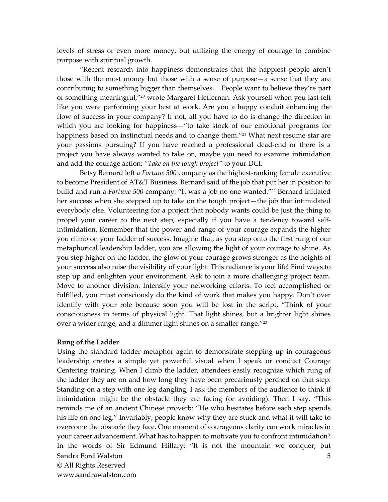levels of stress or even more money, but utilizing the energy of courage to combine purpose with spiritual growth.

"Recent research into happiness demonstrates that the happiest people aren't those with the most money but those with a sense of purpose—a sense that they are contributing to something bigger than themselves… People want to believe they're part of something meaningful,"20 wrote Margaret Heffernan. Ask yourself when you last felt like you were performing your best at work. Are you a happy conduit enhancing the flow of success in your company? If not, all you have to do is change the direction in which you are looking for happiness—"to take stock of our emotional programs for happiness based on instinctual needs and to change them."<sup>21</sup> What next resume star are your passions pursuing? If you have reached a professional dead-end or there is a project you have always wanted to take on, maybe you need to examine intimidation and add the courage action: *"Take on the tough project"* to your DCI.

Betsy Bernard left a *Fortune 500* company as the highest-ranking female executive to become President of AT&T Business. Bernard said of the job that put her in position to build and run a *Fortune 500* company: "It was a job no one wanted."22 Bernard initiated her success when she stepped up to take on the tough project—the job that intimidated everybody else. Volunteering for a project that nobody wants could be just the thing to propel your career to the next step, especially if you have a tendency toward selfintimidation. Remember that the power and range of your courage expands the higher you climb on your ladder of success. Imagine that, as you step onto the first rung of our metaphorical leadership ladder, you are allowing the light of your courage to shine. As you step higher on the ladder, the glow of your courage grows stronger as the heights of your success also raise the visibility of your light. This radiance is your life! Find ways to step up and enlighten your environment. Ask to join a more challenging project team. Move to another division. Intensify your networking efforts. To feel accomplished or fulfilled, you must consciously do the kind of work that makes you happy. Don't over identify with your role because soon you will be lost in the script. "Think of your consciousness in terms of physical light. That light shines, but a brighter light shines over a wider range, and a dimmer light shines on a smaller range." $^{23}$ 

#### **Rung of the Ladder**

Sandra Ford Walston © All Rights Reserved www.sandrawalston.com 5 Using the standard ladder metaphor again to demonstrate stepping up in courageous leadership creates a simple yet powerful visual when I speak or conduct Courage Centering training. When I climb the ladder, attendees easily recognize which rung of the ladder they are on and how long they have been precariously perched on that step. Standing on a step with one leg dangling, I ask the members of the audience to think if intimidation might be the obstacle they are facing (or avoiding). Then I say, "This reminds me of an ancient Chinese proverb: "He who hesitates before each step spends his life on one leg." Invariably, people know why they are stuck and what it will take to overcome the obstacle they face. One moment of courageous clarity can work miracles in your career advancement. What has to happen to motivate you to confront intimidation? In the words of Sir Edmund Hillary: "It is not the mountain we conquer, but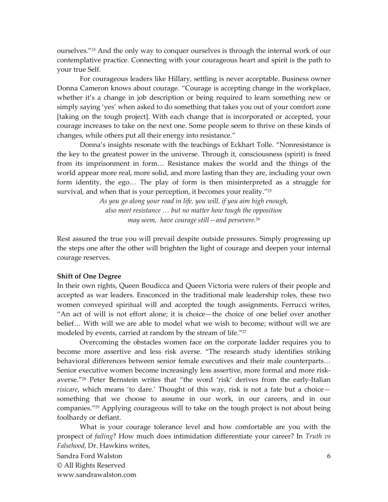ourselves."*24* And the only way to conquer ourselves is through the internal work of our contemplative practice. Connecting with your courageous heart and spirit is the path to your true Self.

For courageous leaders like Hillary, settling is never acceptable. Business owner Donna Cameron knows about courage. "Courage is accepting change in the workplace, whether it's a change in job description or being required to learn something new or simply saying 'yes' when asked to do something that takes you out of your comfort zone [taking on the tough project]. With each change that is incorporated or accepted, your courage increases to take on the next one. Some people seem to thrive on these kinds of changes, while others put all their energy into resistance."

Donna's insights resonate with the teachings of Eckhart Tolle. "Nonresistance is the key to the greatest power in the universe. Through it, consciousness (spirit) is freed from its imprisonment in form… Resistance makes the world and the things of the world appear more real, more solid, and more lasting than they are, including your own form identity, the ego… The play of form is then misinterpreted as a struggle for survival, and when that is your perception, it becomes your reality." $^{25}$ 

> *As you go along your road in life, you will, if you aim high enough, also meet resistance … but no matter how tough the opposition may seem, have courage still—and persevere.*<sup>26</sup>

Rest assured the true you will prevail despite outside pressures. Simply progressing up the steps one after the other will brighten the light of courage and deepen your internal courage reserves.

#### **Shift of One Degree**

In their own rights, Queen Boudicca and Queen Victoria were rulers of their people and accepted as war leaders. Ensconced in the traditional male leadership roles, these two women conveyed spiritual will and accepted the tough assignments. Ferrucci writes, "An act of will is not effort alone; it is choice—the choice of one belief over another belief… With will we are able to model what we wish to become; without will we are modeled by events, carried at random by the stream of life. $^{\prime\prime27}$ 

Overcoming the obstacles women face on the corporate ladder requires you to become more assertive and less risk averse. "The research study identifies striking behavioral differences between senior female executives and their male counterparts… Senior executive women become increasingly less assertive, more formal and more riskaverse."28 Peter Bernstein writes that "the word 'risk' derives from the early-Italian *risicare*, which means 'to dare.' Thought of this way, risk is not a fate but a choice something that we choose to assume in our work, in our careers, and in our companies."29 Applying courageous will to take on the tough project is not about being foolhardy or defiant.

What is your courage tolerance level and how comfortable are you with the prospect of *failing*? How much does intimidation differentiate your career? In *Truth vs Falsehood*, Dr. Hawkins writes,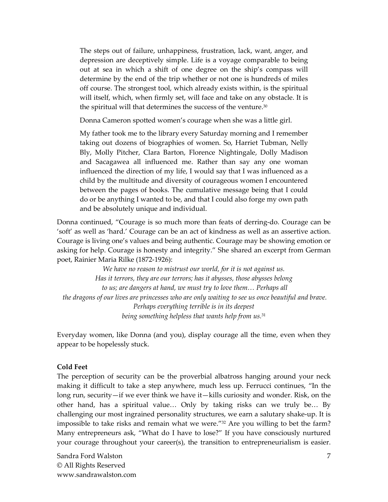The steps out of failure, unhappiness, frustration, lack, want, anger, and depression are deceptively simple. Life is a voyage comparable to being out at sea in which a shift of one degree on the ship's compass will determine by the end of the trip whether or not one is hundreds of miles off course. The strongest tool, which already exists within, is the spiritual will itself, which, when firmly set, will face and take on any obstacle. It is the spiritual will that determines the success of the venture.<sup>30</sup>

Donna Cameron spotted women's courage when she was a little girl.

My father took me to the library every Saturday morning and I remember taking out dozens of biographies of women. So, Harriet Tubman, Nelly Bly, Molly Pitcher, Clara Barton, Florence Nightingale, Dolly Madison and Sacagawea all influenced me. Rather than say any one woman influenced the direction of my life, I would say that I was influenced as a child by the multitude and diversity of courageous women I encountered between the pages of books. The cumulative message being that I could do or be anything I wanted to be, and that I could also forge my own path and be absolutely unique and individual.

Donna continued, "Courage is so much more than feats of derring-do. Courage can be 'soft' as well as 'hard.' Courage can be an act of kindness as well as an assertive action. Courage is living one's values and being authentic. Courage may be showing emotion or asking for help. Courage is honesty and integrity." She shared an excerpt from German poet, Rainier Maria Rilke (1872-1926):

*We have no reason to mistrust our world, for it is not against us. Has it terrors, they are our terrors; has it abysses, those abysses belong to us; are dangers at hand, we must try to love them… Perhaps all the dragons of our lives are princesses who are only waiting to see us once beautiful and brave. Perhaps everything terrible is in its deepest being something helpless that wants help from us.*<sup>31</sup>

Everyday women, like Donna (and you), display courage all the time, even when they appear to be hopelessly stuck.

## **Cold Feet**

The perception of security can be the proverbial albatross hanging around your neck making it difficult to take a step anywhere, much less up. Ferrucci continues, "In the long run, security—if we ever think we have it—kills curiosity and wonder. Risk, on the other hand, has a spiritual value… Only by taking risks can we truly be… By challenging our most ingrained personality structures, we earn a salutary shake-up. It is impossible to take risks and remain what we were.<sup>"32</sup> Are you willing to bet the farm? Many entrepreneurs ask, "What do I have to lose?" If you have consciously nurtured your courage throughout your career(s), the transition to entrepreneurialism is easier.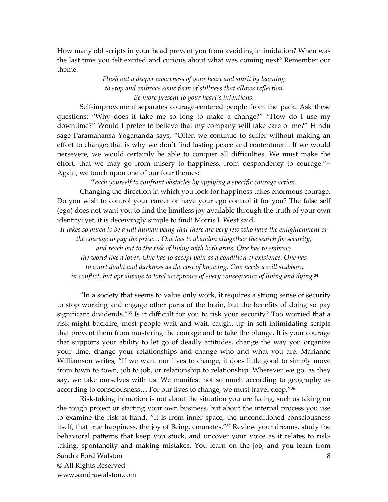How many old scripts in your head prevent you from avoiding intimidation? When was the last time you felt excited and curious about what was coming next? Remember our theme:

> *Flush out a deeper awareness of your heart and spirit by learning to stop and embrace some form of stillness that allows reflection. Be more present to your heart's intentions.*

Self-improvement separates courage-centered people from the pack. Ask these questions: "Why does it take me so long to make a change?" "How do I use my downtime?" Would I prefer to believe that my company will take care of me?" Hindu sage Paramahansa Yogananda says, "Often we continue to suffer without making an effort to change; that is why we don't find lasting peace and contentment. If we would persevere, we would certainly be able to conquer all difficulties. We must make the effort, that we may go from misery to happiness, from despondency to courage."33 Again, we touch upon one of our four themes:

*Teach yourself to confront obstacles by applying a specific courage action.* 

Changing the direction in which you look for happiness takes enormous courage. Do you wish to control your career or have your ego control it for you? The false self (ego) does not want you to find the limitless joy available through the truth of your own identity; yet, it is deceivingly simple to find! Morris L West said,

*It takes so much to be a full human being that there are very few who have the enlightenment or the courage to pay the price… One has to abandon altogether the search for security,* 

*and reach out to the risk of living with both arms. One has to embrace* 

*the world like a lover. One has to accept pain as a condition of existence. One has to court doubt and darkness as the cost of knowing. One needs a will stubborn in conflict, but apt always to total acceptance of every consequence of living and dying.***<sup>34</sup>**

"In a society that seems to value only work, it requires a strong sense of security to stop working and engage other parts of the brain, but the benefits of doing so pay significant dividends."35 Is it difficult for you to risk your security? Too worried that a risk might backfire, most people wait and wait, caught up in self-intimidating scripts that prevent them from mustering the courage and to take the plunge. It is your courage that supports your ability to let go of deadly attitudes, change the way you organize your time, change your relationships and change who and what you are. Marianne Williamson writes, "If we want our lives to change, it does little good to simply move from town to town, job to job, or relationship to relationship. Wherever we go, as they say, we take ourselves with us. We manifest not so much according to geography as according to consciousness… For our lives to change, we must travel deep."<sup>36</sup>

Sandra Ford Walston © All Rights Reserved www.sandrawalston.com 8 Risk-taking in motion is not about the situation you are facing, such as taking on the tough project or starting your own business, but about the internal process you use to examine the risk at hand. "It is from inner space, the unconditioned consciousness itself, that true happiness, the joy of Being, emanates."37 Review your dreams, study the behavioral patterns that keep you stuck, and uncover your voice as it relates to risktaking, spontaneity and making mistakes. You learn on the job, and you learn from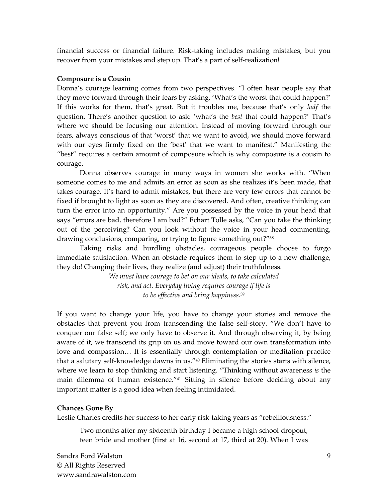financial success or financial failure. Risk-taking includes making mistakes, but you recover from your mistakes and step up. That's a part of self-realization!

## **Composure is a Cousin**

Donna's courage learning comes from two perspectives. "I often hear people say that they move forward through their fears by asking, 'What's the worst that could happen?' If this works for them, that's great. But it troubles me, because that's only *half* the question. There's another question to ask: 'what's the *best* that could happen?' That's where we should be focusing our attention. Instead of moving forward through our fears, always conscious of that 'worst' that we want to avoid, we should move forward with our eyes firmly fixed on the 'best' that we want to manifest." Manifesting the "best" requires a certain amount of composure which is why composure is a cousin to courage.

Donna observes courage in many ways in women she works with. "When someone comes to me and admits an error as soon as she realizes it's been made, that takes courage. It's hard to admit mistakes, but there are very few errors that cannot be fixed if brought to light as soon as they are discovered. And often, creative thinking can turn the error into an opportunity." Are you possessed by the voice in your head that says "errors are bad, therefore I am bad?" Echart Tolle asks, "Can you take the thinking out of the perceiving? Can you look without the voice in your head commenting, drawing conclusions, comparing, or trying to figure something out?"<sup>38</sup>

Taking risks and hurdling obstacles, courageous people choose to forgo immediate satisfaction. When an obstacle requires them to step up to a new challenge, they do! Changing their lives, they realize (and adjust) their truthfulness.

> *We must have courage to bet on our ideals, to take calculated risk, and act. Everyday living requires courage if life is to be effective and bring happiness.*<sup>39</sup>

If you want to change your life, you have to change your stories and remove the obstacles that prevent you from transcending the false self-story. "We don't have to conquer our false self; we only have to observe it. And through observing it, by being aware of it, we transcend its grip on us and move toward our own transformation into love and compassion… It is essentially through contemplation or meditation practice that a salutary self-knowledge dawns in us."40 Eliminating the stories starts with silence, where we learn to stop thinking and start listening. "Thinking without awareness *is* the main dilemma of human existence."<sup>41</sup> Sitting in silence before deciding about any important matter is a good idea when feeling intimidated.

#### **Chances Gone By**

Leslie Charles credits her success to her early risk-taking years as "rebelliousness."

Two months after my sixteenth birthday I became a high school dropout, teen bride and mother (first at 16, second at 17, third at 20). When I was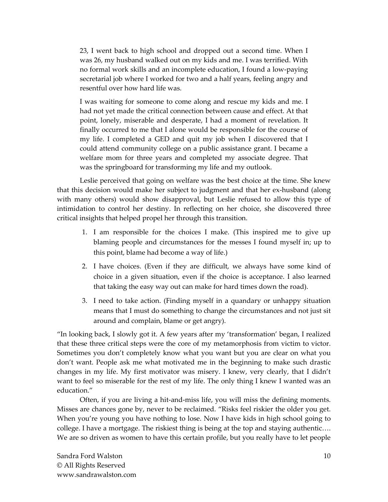23, I went back to high school and dropped out a second time. When I was 26, my husband walked out on my kids and me. I was terrified. With no formal work skills and an incomplete education, I found a low-paying secretarial job where I worked for two and a half years, feeling angry and resentful over how hard life was.

I was waiting for someone to come along and rescue my kids and me. I had not yet made the critical connection between cause and effect. At that point, lonely, miserable and desperate, I had a moment of revelation. It finally occurred to me that I alone would be responsible for the course of my life. I completed a GED and quit my job when I discovered that I could attend community college on a public assistance grant. I became a welfare mom for three years and completed my associate degree. That was the springboard for transforming my life and my outlook.

Leslie perceived that going on welfare was the best choice at the time. She knew that this decision would make her subject to judgment and that her ex-husband (along with many others) would show disapproval, but Leslie refused to allow this type of intimidation to control her destiny. In reflecting on her choice, she discovered three critical insights that helped propel her through this transition.

- 1. I am responsible for the choices I make. (This inspired me to give up blaming people and circumstances for the messes I found myself in; up to this point, blame had become a way of life.)
- 2. I have choices. (Even if they are difficult, we always have some kind of choice in a given situation, even if the choice is acceptance. I also learned that taking the easy way out can make for hard times down the road).
- 3. I need to take action. (Finding myself in a quandary or unhappy situation means that I must do something to change the circumstances and not just sit around and complain, blame or get angry).

"In looking back, I slowly got it. A few years after my 'transformation' began, I realized that these three critical steps were the core of my metamorphosis from victim to victor. Sometimes you don't completely know what you want but you are clear on what you don't want. People ask me what motivated me in the beginning to make such drastic changes in my life. My first motivator was misery. I knew, very clearly, that I didn't want to feel so miserable for the rest of my life. The only thing I knew I wanted was an education."

Often, if you are living a hit-and-miss life, you will miss the defining moments. Misses are chances gone by, never to be reclaimed. "Risks feel riskier the older you get. When you're young you have nothing to lose. Now I have kids in high school going to college. I have a mortgage. The riskiest thing is being at the top and staying authentic…. We are so driven as women to have this certain profile, but you really have to let people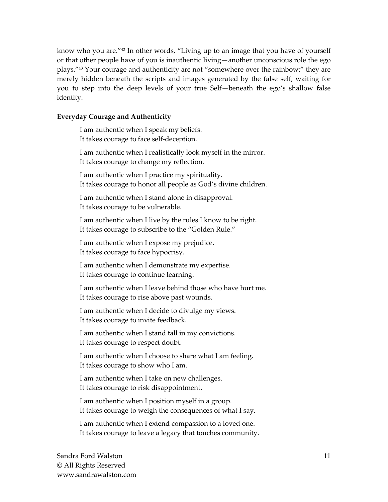know who you are."42 In other words, "Living up to an image that you have of yourself or that other people have of you is inauthentic living—another unconscious role the ego plays."43 Your courage and authenticity are not "somewhere over the rainbow;" they are merely hidden beneath the scripts and images generated by the false self, waiting for you to step into the deep levels of your true Self—beneath the ego's shallow false identity.

## **Everyday Courage and Authenticity**

I am authentic when I speak my beliefs. It takes courage to face self-deception. I am authentic when I realistically look myself in the mirror. It takes courage to change my reflection. I am authentic when I practice my spirituality. It takes courage to honor all people as God's divine children. I am authentic when I stand alone in disapproval. It takes courage to be vulnerable. I am authentic when I live by the rules I know to be right. It takes courage to subscribe to the "Golden Rule." I am authentic when I expose my prejudice. It takes courage to face hypocrisy. I am authentic when I demonstrate my expertise. It takes courage to continue learning. I am authentic when I leave behind those who have hurt me. It takes courage to rise above past wounds. I am authentic when I decide to divulge my views. It takes courage to invite feedback. I am authentic when I stand tall in my convictions. It takes courage to respect doubt. I am authentic when I choose to share what I am feeling. It takes courage to show who I am. I am authentic when I take on new challenges. It takes courage to risk disappointment. I am authentic when I position myself in a group. It takes courage to weigh the consequences of what I say. I am authentic when I extend compassion to a loved one. It takes courage to leave a legacy that touches community.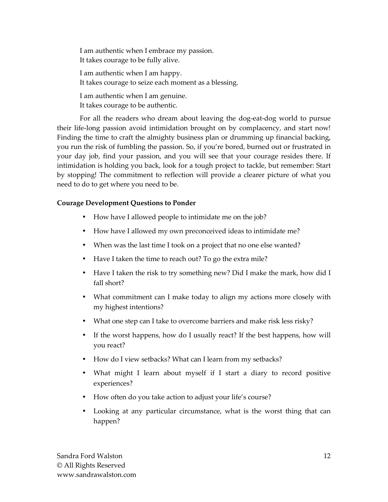I am authentic when I embrace my passion. It takes courage to be fully alive. I am authentic when I am happy. It takes courage to seize each moment as a blessing. I am authentic when I am genuine. It takes courage to be authentic.

For all the readers who dream about leaving the dog-eat-dog world to pursue their life-long passion avoid intimidation brought on by complacency, and start now! Finding the time to craft the almighty business plan or drumming up financial backing, you run the risk of fumbling the passion. So, if you're bored, burned out or frustrated in your day job, find your passion, and you will see that your courage resides there. If intimidation is holding you back, look for a tough project to tackle, but remember: Start by stopping! The commitment to reflection will provide a clearer picture of what you need to do to get where you need to be.

## **Courage Development Questions to Ponder**

- How have I allowed people to intimidate me on the job?
- How have I allowed my own preconceived ideas to intimidate me?
- When was the last time I took on a project that no one else wanted?
- Have I taken the time to reach out? To go the extra mile?
- Have I taken the risk to try something new? Did I make the mark, how did I fall short?
- What commitment can I make today to align my actions more closely with my highest intentions?
- What one step can I take to overcome barriers and make risk less risky?
- If the worst happens, how do I usually react? If the best happens, how will you react?
- How do I view setbacks? What can I learn from my setbacks?
- What might I learn about myself if I start a diary to record positive experiences?
- How often do you take action to adjust your life's course?
- Looking at any particular circumstance, what is the worst thing that can happen?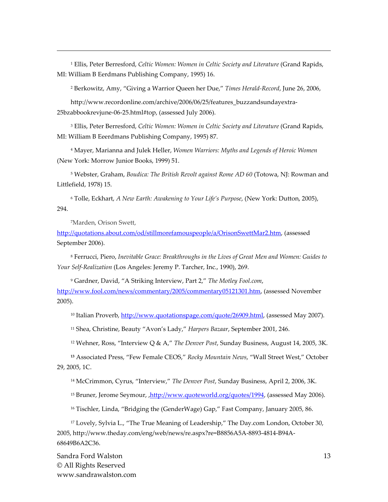1 Ellis, Peter Berresford, *Celtic Women: Women in Celtic Society and Literature* (Grand Rapids, MI: William B Eerdmans Publishing Company, 1995) 16.

2 Berkowitz, Amy, "Giving a Warrior Queen her Due," *Times Herald-Record*, June 26, 2006,

http://www.recordonline.com/archive/2006/06/25/features\_buzzandsundayextra-25bzabbookrevjune-06-25.html#top, (assessed July 2006).

3 Ellis, Peter Berresford, *Celtic Women: Women in Celtic Society and Literature* (Grand Rapids, MI: William B Eeerdmans Publishing Company, 1995) 87.

4 Mayer, Marianna and Julek Heller, *Women Warriors: Myths and Legends of Heroic Women*  (New York: Morrow Junior Books, 1999) 51.

5 Webster, Graham, *Boudica: The British Revolt against Rome AD 60* (Totowa, NJ: Rowman and Littlefield, 1978) 15.

6 Tolle, Eckhart, *A New Earth: Awakening to Your Life's Purpose*, (New York: Dutton, 2005), 294.

<sup>7</sup>Marden, Orison Swett,

<u>.</u>

http://quotations.about.com/od/stillmorefamouspeople/a/OrisonSwettMar2.htm, (assessed September 2006).

8 Ferrucci, Piero, *Inevitable Grace: Breakthroughs in the Lives of Great Men and Women: Guides to Your Self-Realization* (Los Angeles: Jeremy P. Tarcher, Inc., 1990), 269.

9 Gardner, David, "A Striking Interview, Part 2," *The Motley Fool.com*, http://www.fool.com/news/commentary/2005/commentary05121301.htm, (assessed November 2005).

<sup>10</sup> Italian Proverb, http://www.quotationspage.com/quote/26909.html, (assessed May 2007).

<sup>11</sup> Shea, Christine, Beauty "Avon's Lady," *Harpers Bazaar*, September 2001, 246.

<sup>12</sup> Wehner, Ross, "Interview Q & A," *The Denver Post*, Sunday Business, August 14, 2005, 3K.

**<sup>13</sup>** Associated Press, "Few Female CEOS," *Rocky Mountain News*, "Wall Street West," October 29, 2005, 1C.

<sup>14</sup> McCrimmon, Cyrus, "Interview," *The Denver Post*, Sunday Business, April 2, 2006, 3K.

<sup>15</sup> Bruner, Jerome Seymour, ,http://www.quoteworld.org/quotes/1994, (assessed May 2006).

<sup>16</sup> Tischler, Linda, "Bridging the (GenderWage) Gap," Fast Company, January 2005, 86.

<sup>17</sup> Lovely, Sylvia L., "The True Meaning of Leadership," The Day.com London, October 30, 2005, http://www.theday.com/eng/web/news/re.aspx?re=B8856A5A-8893-4814-B94A-68649B6A2C36.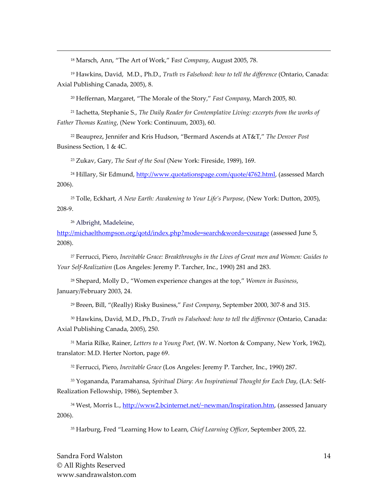<sup>18</sup> Marsch, Ann, "The Art of Work," F*ast Company*, August 2005, 78.

<sup>19</sup> Hawkins, David, M.D., Ph.D., *Truth vs Falsehood: how to tell the difference* (Ontario, Canada: Axial Publishing Canada, 2005), 8.

<sup>20</sup> Heffernan, Margaret, "The Morale of the Story," *Fast Company*, March 2005, 80.

<sup>21</sup> Iachetta, Stephanie S., *The Daily Reader for Contemplative Living: excerpts from the works of Father Thomas Keating*, (New York: Continuum, 2003), 60.

<sup>22</sup> Beauprez, Jennifer and Kris Hudson, "Bermard Ascends at AT&T," *The Denver Post* Business Section, 1 & 4C.

<sup>23</sup> Zukav, Gary, *The Seat of the Soul* (New York: Fireside, 1989), 169.

<sup>24</sup> Hillary, Sir Edmund, http://www.quotationspage.com/quote/4762.html, (assessed March 2006).

<sup>25</sup> Tolle, Eckhart, *A New Earth: Awakening to Your Life's Purpose*, (New York: Dutton, 2005), 208-9.

<sup>26</sup> Albright, Madeleine,

<u>.</u>

http://michaelthompson.org/qotd/index.php?mode=search&words=courage (assessed June 5, 2008).

<sup>27</sup> Ferrucci, Piero, *Inevitable Grace: Breakthroughs in the Lives of Great men and Women: Guides to Your Self-Realization* (Los Angeles: Jeremy P. Tarcher, Inc., 1990) 281 and 283.

<sup>28</sup> Shepard, Molly D., "Women experience changes at the top," *Women in Business*, January/February 2003, 24.

<sup>29</sup> Breen, Bill, "(Really) Risky Business," *Fast Company*, September 2000, 307-8 and 315.

<sup>30</sup> Hawkins, David, M.D., Ph.D., *Truth vs Falsehood: how to tell the difference* (Ontario, Canada: Axial Publishing Canada, 2005), 250.

<sup>31</sup> Maria Rilke, Rainer, *Letters to a Young Poet,* (W. W. Norton & Company, New York, 1962), translator: M.D. Herter Norton, page 69.

<sup>32</sup> Ferrucci, Piero, *Inevitable Grace* (Los Angeles: Jeremy P. Tarcher, Inc., 1990) 287.

33 Yogananda, Paramahansa, *Spiritual Diary: An Inspirational Thought for Each Day*, (LA: Self-Realization Fellowship, 1986), September 3.

<sup>34</sup> West, Morris L., http://www2.bcinternet.net/~newman/Inspiration.htm, (assessed January 2006).

35 Harburg, Fred "Learning How to Learn, *Chief Learning Officer*, September 2005, 22.